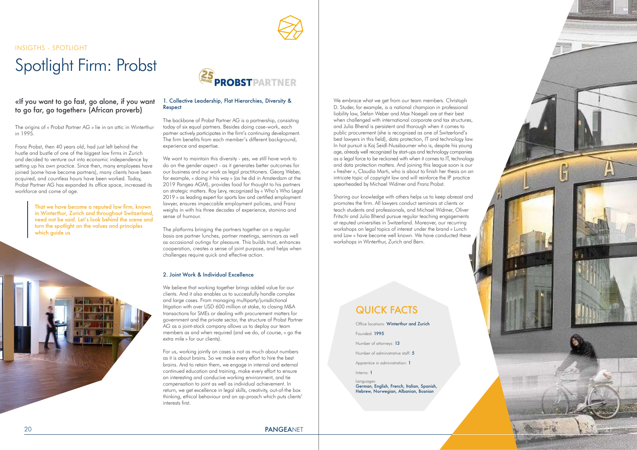We embrace what we get from our team members. Christoph D. Studer, for example, is a national champion in professional liability law, Stefan Weber and Max Naegeli are at their best when challenged with international corporate and tax structures, and Julia Bhend is persistent and thorough when it comes to public procurement (she is recognized as one of Switzerland's best lawyers in this field), data protection, IT and technology law. In hot pursuit is Kaj Seidl-Nussbaumer who is, despite his young age, already well recognized by start-ups and technology companies as a legal force to be reckoned with when it comes to IT, technology and data protection matters. And joining this league soon is our « fresher », Claudia Marti, who is about to finish her thesis on an intricate topic of copyright law and will reinforce the IP practice spearheaded by Michael Widmer and Franz Probst.

Sharing our knowledge with others helps us to keep abreast and promotes the firm. All lawyers conduct seminars at clients or teach students and professionals, and Michael Widmer, Oliver Fritschi and Julia Bhend pursue regular teaching engagements at reputed universities in Switzerland. Moreover, our recurring workshops on legal topics of interest under the brand « Lunch and Law » have become well known. We have conducted these workshops in Winterthur, Zurich and Bern.

Office locations: Winterthur and Zurich

Founded: 1995

Number of administrative staff: 5

Apprentice in administration: 1

Number of attorneys: 13

Interns: 1

Languages: German, English, French, Italian, Spanish, Hebrew, Norwegian, Albanian, Bosnian

# QUICK FACTS

# Spotlight Firm: Probst

INSIGTHS - SPOTLIGHT

The origins of « Probst Partner AG » lie in an attic in Winterthur in 1995.

Franz Probst, then 40 years old, had just left behind the hustle and bustle of one of the biggest law firms in Zurich and decided to venture out into economic independence by setting up his own practice. Since then, many employees have joined (some have become partners), many clients have been acquired, and countless hours have been worked. Today, Probst Partner AG has expanded its office space, increased its workforce and come of age.

#### 1. Collective Leadership, Flat Hierarchies, Diversity & Respect

That we have become a reputed law frm, known in Winterthur, Zurich and throughout Switzerland, need not be said. Let's look behind the scene and turn the spotlight on the values and principles which quide us





The backbone of Probst Partner AG is a partnership, consisting today of six equal partners. Besides doing case-work, each partner actively participates in the firm's continuing development. The firm benefits from each member's different background, experience and expertise.

We want to maintain this diversity - yes, we still have work to do on the gender aspect - as it generates better outcomes for our business and our work as legal practitioners. Georg Weber, for example, « doing it his way » (as he did in Amsterdam at the 2019 Pangea AGM), provides food for thought to his partners on strategic matters. Roy Levy, recognized by « Who's Who Legal 2019 » as leading expert for sports law and certified employment lawyer, ensures impeccable employment policies, and Franz weighs in with his three decades of experience, stamina and sense of humour.

The platforms bringing the partners together on a regular basis are partner lunches, partner meetings, seminars as well as occasional outings for pleasure. This builds trust, enhances cooperation, creates a sense of joint purpose, and helps when challenges require quick and effective action.

#### 2. Joint Work & Individual Excellence

We believe that working together brings added value for our clients. And it also enables us to successfully handle complex and large cases. From managing multiparty/jurisdictional litigation with over USD 600 million at stake, to closing M&A transactions for SMEs or dealing with procurement matters for government and the private sector, the structure of Probst Partner AG as a joint-stock company allows us to deploy our team members as and when required (and we do, of course, « go the extra mile » for our clients).

For us, working jointly on cases is not as much about numbers as it is about brains. So we make every effort to hire the best brains. And to retain them, we engage in internal and external continued education and training, make every effort to ensure an interesting and conducive working environment, and tie compensation to joint as well as individual achievement. In return, we get excellence in legal skills, creativity, out-of-the box thinking, ethical behaviour and an ap-proach which puts clients' interests first.